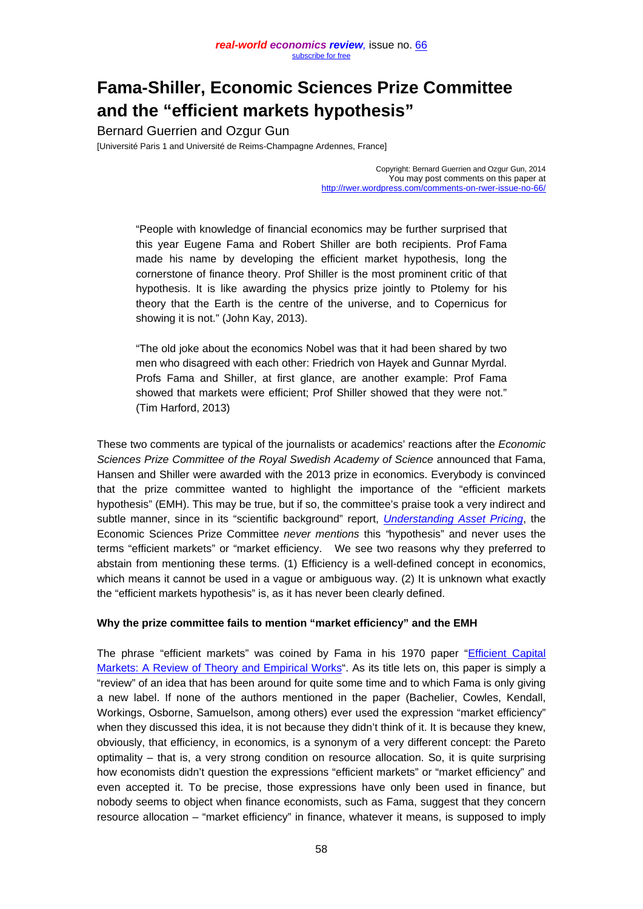# **Fama-Shiller, Economic Sciences Prize Committee and the "efficient markets hypothesis"**

Bernard Guerrien and Ozgur Gun

[Université Paris 1 and Université de Reims-Champagne Ardennes, France]

Copyright: Bernard Guerrien and Ozgur Gun, 2014 You may post comments on this paper at <http://rwer.wordpress.com/comments-on-rwer-issue-no-66/>

"People with knowledge of financial economics may be further surprised that this year Eugene Fama and Robert Shiller are both recipients. Prof Fama made his name by developing the efficient market hypothesis, long the cornerstone of finance theory. Prof Shiller is the most prominent critic of that hypothesis. It is like awarding the physics prize jointly to Ptolemy for his theory that the Earth is the centre of the universe, and to Copernicus for showing it is not." (John Kay, 2013).

"The old joke about the economics Nobel was that it had been shared by two men who disagreed with each other: Friedrich von Hayek and Gunnar Myrdal. Profs Fama and Shiller, at first glance, are another example: Prof Fama showed that markets were efficient; Prof Shiller showed that they were not." (Tim Harford, 2013)

These two comments are typical of the journalists or academics' reactions after the *Economic Sciences Prize Committee of the Royal Swedish Academy of Science* announced that Fama, Hansen and Shiller were awarded with the 2013 prize in economics. Everybody is convinced that the prize committee wanted to highlight the importance of the "efficient markets hypothesis" (EMH). This may be true, but if so, the committee's praise took a very indirect and subtle manner, since in its "scientific background" report, *[Understanding Asset Pricing](http://www.nobelprize.org/nobel_prizes/economic-sciences/laureates/2013/advanced-economicsciences2013.pdf)*, the Economic Sciences Prize Committee *never mentions* this *"*hypothesis" and never uses the terms "efficient markets" or "market efficiency. We see two reasons why they preferred to abstain from mentioning these terms. (1) Efficiency is a well-defined concept in economics, which means it cannot be used in a vague or ambiguous way. (2) It is unknown what exactly the "efficient markets hypothesis" is, as it has never been clearly defined.

### **Why the prize committee fails to mention "market efficiency" and the EMH**

The phrase "efficient markets" was coined by Fama in his 1970 paper "Efficient Capital Markets: [A Review of Theory and Empirical Works"](http://efinance.org.cn/cn/fm/Efficient%20Capital%20Markets%20A%20Review%20of%20Theory%20and%20Empirical%20Work.pdf). As its title lets on, this paper is simply a "review" of an idea that has been around for quite some time and to which Fama is only giving a new label. If none of the authors mentioned in the paper (Bachelier, Cowles, Kendall, Workings, Osborne, Samuelson, among others) ever used the expression "market efficiency" when they discussed this idea, it is not because they didn't think of it. It is because they knew, obviously, that efficiency, in economics, is a synonym of a very different concept: the Pareto optimality – that is, a very strong condition on resource allocation. So, it is quite surprising how economists didn't question the expressions "efficient markets" or "market efficiency" and even accepted it. To be precise, those expressions have only been used in finance, but nobody seems to object when finance economists, such as Fama, suggest that they concern resource allocation – "market efficiency" in finance, whatever it means, is supposed to imply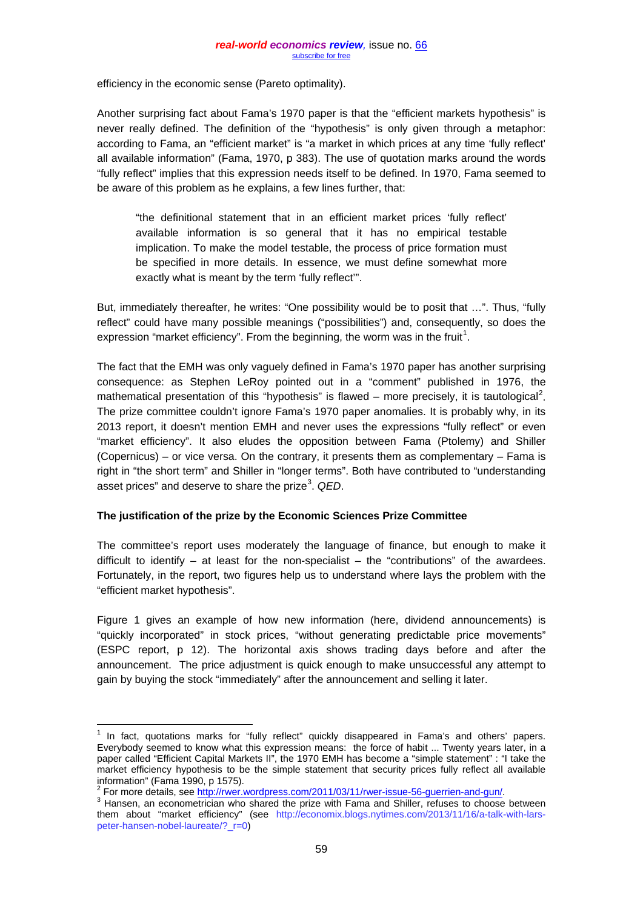efficiency in the economic sense (Pareto optimality).

Another surprising fact about Fama's 1970 paper is that the "efficient markets hypothesis" is never really defined. The definition of the "hypothesis" is only given through a metaphor: according to Fama, an "efficient market" is "a market in which prices at any time 'fully reflect' all available information" (Fama, 1970, p 383). The use of quotation marks around the words "fully reflect" implies that this expression needs itself to be defined. In 1970, Fama seemed to be aware of this problem as he explains, a few lines further, that:

"the definitional statement that in an efficient market prices 'fully reflect' available information is so general that it has no empirical testable implication. To make the model testable, the process of price formation must be specified in more details. In essence, we must define somewhat more exactly what is meant by the term 'fully reflect'".

But, immediately thereafter, he writes: "One possibility would be to posit that …". Thus, "fully reflect" could have many possible meanings ("possibilities") and, consequently, so does the expression "market efficiency". From the beginning, the worm was in the fruit<sup>[1](#page-1-0)</sup>.

The fact that the EMH was only vaguely defined in Fama's 1970 paper has another surprising consequence: as Stephen LeRoy pointed out in a "comment" published in 1976, the mathematical presentation of this "hypothesis" is flawed – more precisely, it is tautological<sup>[2](#page-1-1)</sup>. The prize committee couldn't ignore Fama's 1970 paper anomalies. It is probably why, in its 2013 report, it doesn't mention EMH and never uses the expressions "fully reflect" or even "market efficiency". It also eludes the opposition between Fama (Ptolemy) and Shiller (Copernicus) – or vice versa. On the contrary, it presents them as complementary – Fama is right in "the short term" and Shiller in "longer terms". Both have contributed to "understanding asset prices" and deserve to share the prize<sup>[3](#page-1-2)</sup>. QED.

### **The justification of the prize by the Economic Sciences Prize Committee**

The committee's report uses moderately the language of finance, but enough to make it difficult to identify  $-$  at least for the non-specialist  $-$  the "contributions" of the awardees. Fortunately, in the report, two figures help us to understand where lays the problem with the "efficient market hypothesis".

Figure 1 gives an example of how new information (here, dividend announcements) is "quickly incorporated" in stock prices, "without generating predictable price movements" (ESPC report, p 12). The horizontal axis shows trading days before and after the announcement. The price adjustment is quick enough to make unsuccessful any attempt to gain by buying the stock "immediately" after the announcement and selling it later.

<span id="page-1-0"></span> $<sup>1</sup>$  In fact, quotations marks for "fully reflect" quickly disappeared in Fama's and others' papers.</sup> Everybody seemed to know what this expression means: the force of habit ... Twenty years later, in a paper called "Efficient Capital Markets II", the 1970 EMH has become a "simple statement" : "I take the market efficiency hypothesis to be the simple statement that security prices fully reflect all available

information" (Fama 1990, p 1575).<br><sup>2</sup> For more details, see http://rwer.wordpress.com/2011/03/11/rwer-issue-56-querrien-and-gun/.

<span id="page-1-2"></span><span id="page-1-1"></span><sup>&</sup>lt;sup>2</sup> For more details, see *ingurner-is and compartion-and-gundana and Shiller*, refuses to choose between them about "market efficiency" (see [http://economix.blogs.nytimes.com/2013/11/16/a-talk-with-lars](http://economix.blogs.nytimes.com/2013/11/16/a-talk-with-lars-peter-hansen-nobel-laureate/?_r=0)[peter-hansen-nobel-laureate/?\\_r=0\)](http://economix.blogs.nytimes.com/2013/11/16/a-talk-with-lars-peter-hansen-nobel-laureate/?_r=0)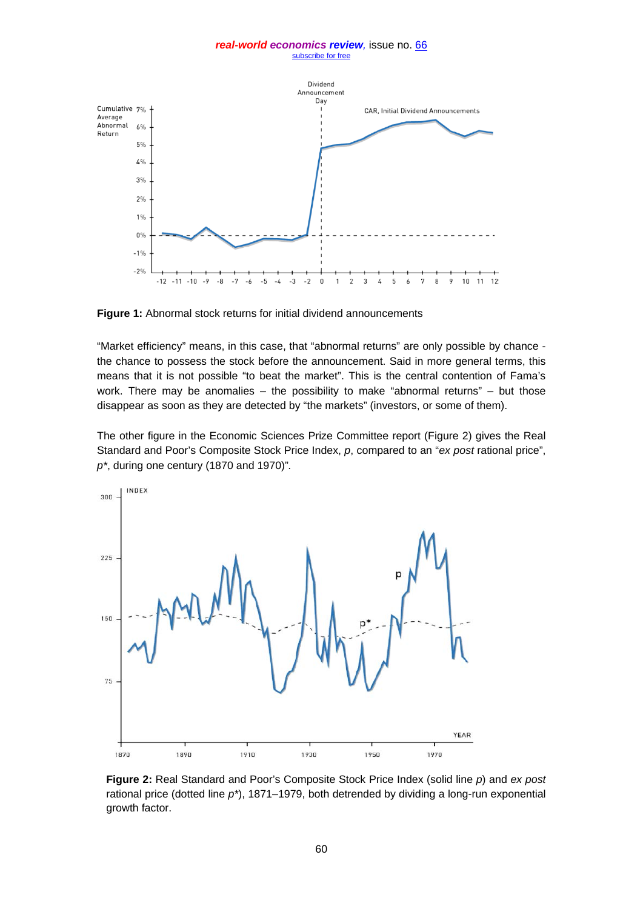#### *real-world economics review,* issue no. [66](http://www.paecon.net/PAEReview/issue66/whole66.pdf) [subscribe for free](http://www.feedblitz.com/f/f.fbz?Sub=332386)



**Figure 1:** Abnormal stock returns for initial dividend announcements

"Market efficiency" means, in this case, that "abnormal returns" are only possible by chance the chance to possess the stock before the announcement. Said in more general terms, this means that it is not possible "to beat the market". This is the central contention of Fama's work. There may be anomalies  $-$  the possibility to make "abnormal returns"  $-$  but those disappear as soon as they are detected by "the markets" (investors, or some of them).

The other figure in the Economic Sciences Prize Committee report (Figure 2) gives the Real Standard and Poor's Composite Stock Price Index, *p*, compared to an "*ex post* rational price", *p\**, during one century (1870 and 1970)"*.*



**Figure 2:** Real Standard and Poor's Composite Stock Price Index (solid line *p*) and *ex post*  rational price (dotted line *p\**), 1871–1979, both detrended by dividing a long-run exponential growth factor.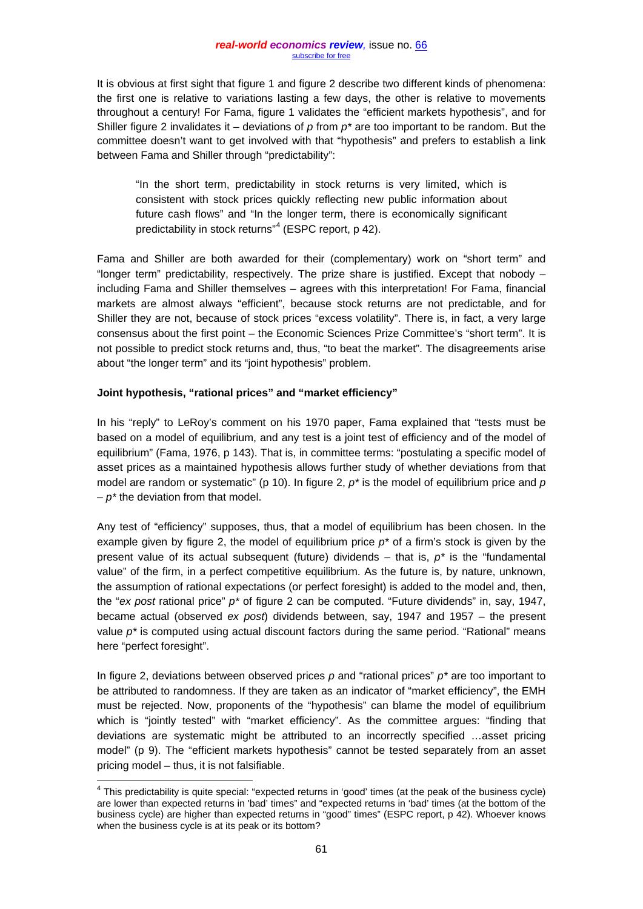It is obvious at first sight that figure 1 and figure 2 describe two different kinds of phenomena: the first one is relative to variations lasting a few days, the other is relative to movements throughout a century! For Fama, figure 1 validates the "efficient markets hypothesis", and for Shiller figure 2 invalidates it – deviations of *p* from *p\** are too important to be random. But the committee doesn't want to get involved with that "hypothesis" and prefers to establish a link between Fama and Shiller through "predictability":

"In the short term, predictability in stock returns is very limited, which is consistent with stock prices quickly reflecting new public information about future cash flows" and "In the longer term, there is economically significant predictability in stock returns"<sup>[4](#page-3-0)</sup> (ESPC report, p 42).

Fama and Shiller are both awarded for their (complementary) work on "short term" and "longer term" predictability, respectively. The prize share is justified. Except that nobody – including Fama and Shiller themselves – agrees with this interpretation! For Fama, financial markets are almost always "efficient", because stock returns are not predictable, and for Shiller they are not, because of stock prices "excess volatility". There is, in fact, a very large consensus about the first point – the Economic Sciences Prize Committee's "short term". It is not possible to predict stock returns and, thus, "to beat the market". The disagreements arise about "the longer term" and its "joint hypothesis" problem.

## **Joint hypothesis, "rational prices" and "market efficiency"**

In his "reply" to LeRoy's comment on his 1970 paper, Fama explained that "tests must be based on a model of equilibrium, and any test is a joint test of efficiency and of the model of equilibrium" (Fama, 1976, p 143). That is, in committee terms: "postulating a specific model of asset prices as a maintained hypothesis allows further study of whether deviations from that model are random or systematic" (p 10). In figure 2, *p\** is the model of equilibrium price and *p – p\** the deviation from that model.

Any test of "efficiency" supposes, thus, that a model of equilibrium has been chosen. In the example given by figure 2, the model of equilibrium price *p\** of a firm's stock is given by the present value of its actual subsequent (future) dividends – that is, *p\** is the "fundamental value" of the firm, in a perfect competitive equilibrium. As the future is, by nature, unknown, the assumption of rational expectations (or perfect foresight) is added to the model and, then, the "*ex post* rational price" *p\** of figure 2 can be computed. "Future dividends" in, say, 1947, became actual (observed *ex post*) dividends between, say, 1947 and 1957 – the present value  $p^*$  is computed using actual discount factors during the same period. "Rational" means here "perfect foresight".

In figure 2, deviations between observed prices *p* and "rational prices" *p\** are too important to be attributed to randomness. If they are taken as an indicator of "market efficiency", the EMH must be rejected. Now, proponents of the "hypothesis" can blame the model of equilibrium which is "jointly tested" with "market efficiency". As the committee argues: "finding that deviations are systematic might be attributed to an incorrectly specified …asset pricing model" (p 9). The "efficient markets hypothesis" cannot be tested separately from an asset pricing model – thus, it is not falsifiable.

<span id="page-3-0"></span><sup>4</sup> This predictability is quite special: "expected returns in 'good' times (at the peak of the business cycle) are lower than expected returns in 'bad' times" and "expected returns in 'bad' times (at the bottom of the business cycle) are higher than expected returns in "good" times" (ESPC report, p 42). Whoever knows when the business cycle is at its peak or its bottom?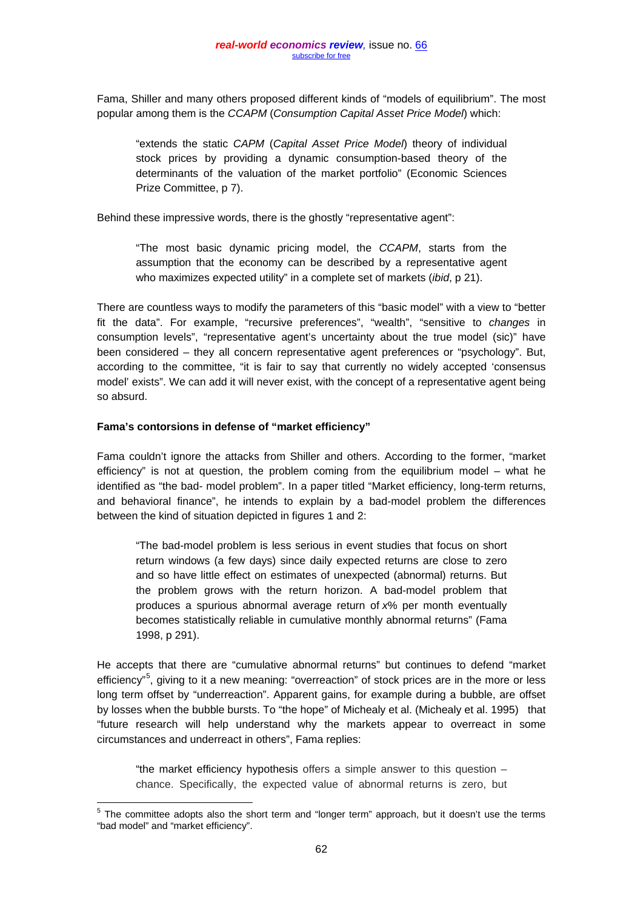Fama, Shiller and many others proposed different kinds of "models of equilibrium". The most popular among them is the *CCAPM* (*Consumption Capital Asset Price Model*) which:

"extends the static *CAPM* (*Capital Asset Price Model*) theory of individual stock prices by providing a dynamic consumption-based theory of the determinants of the valuation of the market portfolio" (Economic Sciences Prize Committee, p 7).

Behind these impressive words, there is the ghostly "representative agent":

"The most basic dynamic pricing model, the *CCAPM*, starts from the assumption that the economy can be described by a representative agent who maximizes expected utility" in a complete set of markets (*ibid*, p 21).

There are countless ways to modify the parameters of this "basic model" with a view to "better fit the data". For example, "recursive preferences", "wealth", "sensitive to *changes* in consumption levels", "representative agent's uncertainty about the true model (sic)" have been considered – they all concern representative agent preferences or "psychology". But, according to the committee, "it is fair to say that currently no widely accepted 'consensus model' exists". We can add it will never exist, with the concept of a representative agent being so absurd.

### **Fama's contorsions in defense of "market efficiency"**

Fama couldn't ignore the attacks from Shiller and others. According to the former, "market efficiency" is not at question, the problem coming from the equilibrium model – what he identified as "the bad- model problem". In a paper titled "Market efficiency, long-term returns, and behavioral finance", he intends to explain by a bad-model problem the differences between the kind of situation depicted in figures 1 and 2:

"The bad-model problem is less serious in event studies that focus on short return windows (a few days) since daily expected returns are close to zero and so have little effect on estimates of unexpected (abnormal) returns. But the problem grows with the return horizon. A bad-model problem that produces a spurious abnormal average return of *x*% per month eventually becomes statistically reliable in cumulative monthly abnormal returns" (Fama 1998, p 291).

He accepts that there are "cumulative abnormal returns" but continues to defend "market efficiency"<sup>[5](#page-4-0)</sup>, giving to it a new meaning: "overreaction" of stock prices are in the more or less long term offset by "underreaction". Apparent gains, for example during a bubble, are offset by losses when the bubble bursts. To "the hope" of Michealy et al. (Michealy et al. 1995) that "future research will help understand why the markets appear to overreact in some circumstances and underreact in others", Fama replies:

"the market efficiency hypothesis offers a simple answer to this question – chance. Specifically, the expected value of abnormal returns is zero, but

<span id="page-4-0"></span><sup>&</sup>lt;sup>5</sup> The committee adopts also the short term and "longer term" approach, but it doesn't use the terms "bad model" and "market efficiency".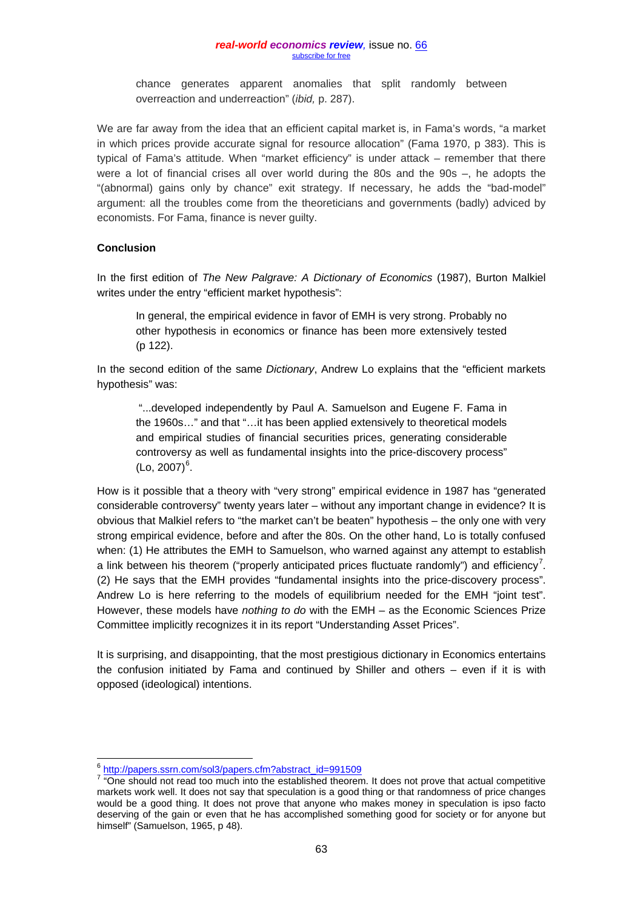chance generates apparent anomalies that split randomly between overreaction and underreaction" (*ibid,* p. 287).

We are far away from the idea that an efficient capital market is, in Fama's words, "a market in which prices provide accurate signal for resource allocation" (Fama 1970, p 383). This is typical of Fama's attitude. When "market efficiency" is under attack – remember that there were a lot of financial crises all over world during the 80s and the 90s –, he adopts the "(abnormal) gains only by chance" exit strategy. If necessary, he adds the "bad-model" argument: all the troubles come from the theoreticians and governments (badly) adviced by economists. For Fama, finance is never guilty.

## **Conclusion**

In the first edition of *The New Palgrave: A Dictionary of Economics* (1987), Burton Malkiel writes under the entry "efficient market hypothesis":

In general, the empirical evidence in favor of EMH is very strong. Probably no other hypothesis in economics or finance has been more extensively tested (p 122).

In the second edition of the same *Dictionary*, Andrew Lo explains that the "efficient markets hypothesis" was:

"...developed independently by Paul A. Samuelson and Eugene F. Fama in the 1960s…" and that "…it has been applied extensively to theoretical models and empirical studies of financial securities prices, generating considerable controversy as well as fundamental insights into the price-discovery process"  $(Lo, 2007)^6$  $(Lo, 2007)^6$ .

How is it possible that a theory with "very strong" empirical evidence in 1987 has "generated considerable controversy" twenty years later – without any important change in evidence? It is obvious that Malkiel refers to "the market can't be beaten" hypothesis – the only one with very strong empirical evidence, before and after the 80s. On the other hand, Lo is totally confused when: (1) He attributes the EMH to Samuelson, who warned against any attempt to establish a link between his theorem ("properly anticipated prices fluctuate randomly") and efficiency<sup>[7](#page-5-1)</sup>. (2) He says that the EMH provides "fundamental insights into the price-discovery process". Andrew Lo is here referring to the models of equilibrium needed for the EMH "joint test". However, these models have *nothing to do* with the EMH – as the Economic Sciences Prize Committee implicitly recognizes it in its report "Understanding Asset Prices".

It is surprising, and disappointing, that the most prestigious dictionary in Economics entertains the confusion initiated by Fama and continued by Shiller and others – even if it is with opposed (ideological) intentions.

<sup>&</sup>lt;sup>6</sup> [http://papers.ssrn.com/sol3/papers.cfm?abstract\\_id=991509](http://papers.ssrn.com/sol3/papers.cfm?abstract_id=991509)

<span id="page-5-1"></span><span id="page-5-0"></span><sup>&</sup>lt;sup>7</sup> "One should not read too much into the established theorem. It does not prove that actual competitive markets work well. It does not say that speculation is a good thing or that randomness of price changes would be a good thing. It does not prove that anyone who makes money in speculation is ipso facto deserving of the gain or even that he has accomplished something good for society or for anyone but himself" (Samuelson, 1965, p 48).